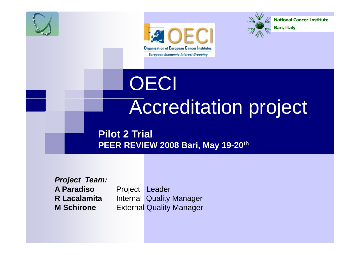





**National Cancer Institute** 

**Bari, Italy**

**OECI** Accreditation project

**Pilot 2 Trial PEER REVIEW 2008 Bari, May 19-20th**

*Project Team:* **A ParadisoR LacalamitaM Schirone**

 Project Leader Internal Quality Manager External Quality Manager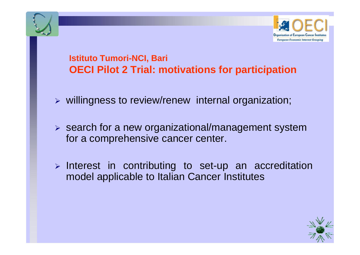

### **Istituto Tumori-NCI, Bari OECI Pilot 2 Trial: motivations for participation**

- $\triangleright$  willingness to review/renew internal organization;
- $\triangleright$  search for a new organizational/management system for a comprehensive cancer center.
- ¾ Interest in contributing to set-up an accreditation model applicable to Italian Cancer Institutes

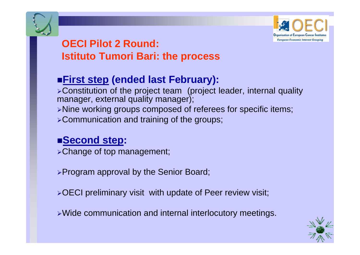

## **OECI Pil t 2 R d Pilot Round: Istituto Tumori Bari: the process**

# **First step (ended last February):**

<sup>¾</sup>Constitution of the project team (project leader, internal quality manager, external quality manager); <sup>¾</sup>Nine working groups composed of referees for specific items; <sup>¾</sup>Communication and training of the groups;

### **Second step:**

<sup>¾</sup>Change of top management;

<sup>¾</sup>Program approval by the Senior Board;

<sup>¾</sup>OECI preliminary visit with update of Peer review visit;

 $\triangleright$  Wide communication and internal interlocutory meetings.

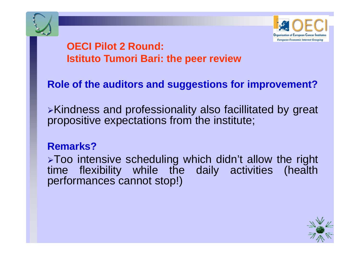



# **OECI Pilot 2 Round: Istituto Tumori Bari: the peer review**

### **Role of the auditors and suggestions for improvement?**

<sup>¾</sup>Kindness and professionality also facillitated by great propositive expectations from the institute;

#### **Remarks?**

>Too intensive scheduling which didn't allow the right time flexibility while the daily activities (health performances cannot stop!)

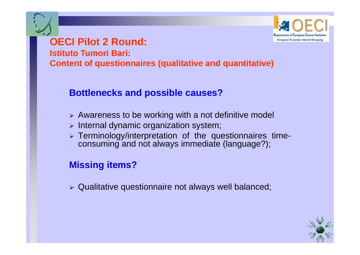

# **OECI Pilot 2 Round:**

**Istituto Tumori Bari:**

**Content of questionnaires (qualitative and quantitative)**

#### **Bottlenecks and possible causes?**

- ¾ Awareness to be working with <sup>a</sup> not definitive model
- ¾ Internal dynamic organization system;
- ¾ Terminology/interpretation of the questionnaires timeconsuming and not always immediate (language?);

#### **Missing items?**

 $\triangleright$  Qualitative questionnaire not always well balanced;